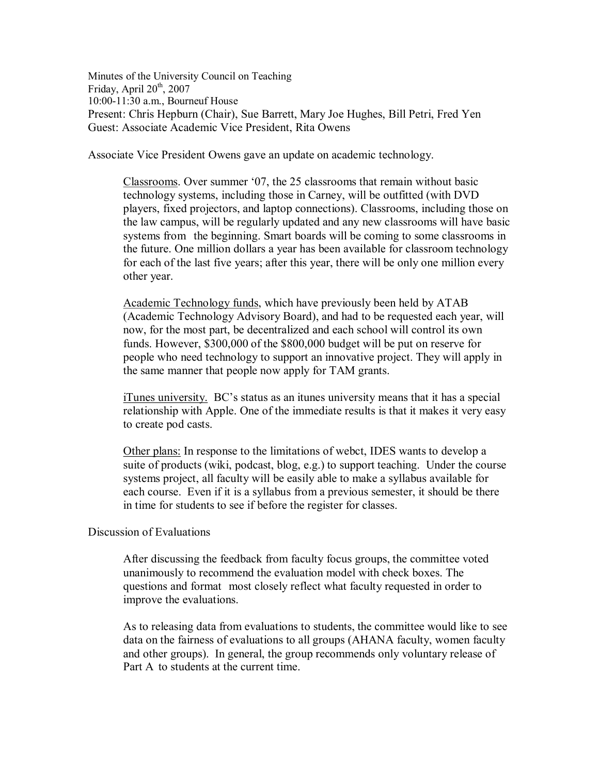Minutes of the University Council on Teaching Friday, April  $20<sup>th</sup>$ , 2007 10:0011:30 a.m., Bourneuf House Present: Chris Hepburn (Chair), Sue Barrett, Mary Joe Hughes, Bill Petri, Fred Yen Guest: Associate Academic Vice President, Rita Owens

Associate Vice President Owens gave an update on academic technology.

Classrooms. Over summer '07, the 25 classrooms that remain without basic technology systems, including those in Carney, will be outfitted (with DVD players, fixed projectors, and laptop connections). Classrooms, including those on the law campus, will be regularly updated and any new classrooms will have basic systems from the beginning. Smart boards will be coming to some classrooms in the future. One million dollars a year has been available for classroom technology for each of the last five years; after this year, there will be only one million every other year.

Academic Technology funds, which have previously been held by ATAB (Academic Technology Advisory Board), and had to be requested each year, will now, for the most part, be decentralized and each school will control its own funds. However, \$300,000 of the \$800,000 budget will be put on reserve for people who need technology to support an innovative project. They will apply in the same manner that people now apply for TAM grants.

iTunes university. BC's status as an itunes university means that it has a special relationship with Apple. One of the immediate results is that it makes it very easy to create pod casts.

Other plans: In response to the limitations of webct, IDES wants to develop a suite of products (wiki, podcast, blog, e.g.) to support teaching. Under the course systems project, all faculty will be easily able to make a syllabus available for each course. Even if it is a syllabus from a previous semester, it should be there in time for students to see if before the register for classes.

## Discussion of Evaluations

After discussing the feedback from faculty focus groups, the committee voted unanimously to recommend the evaluation model with check boxes. The questions and format most closely reflect what faculty requested in order to improve the evaluations.

As to releasing data from evaluations to students, the committee would like to see data on the fairness of evaluations to all groups (AHANA faculty, women faculty and other groups). In general, the group recommends only voluntary release of Part A to students at the current time.